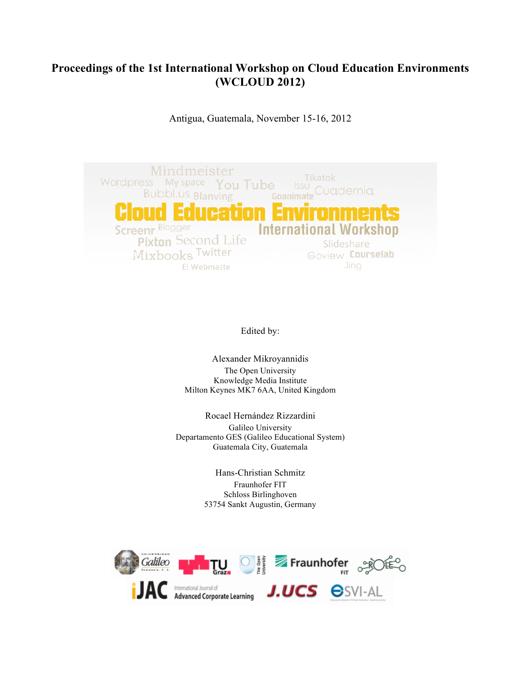## **Proceedings of the 1st International Workshop on Cloud Education Environments (WCLOUD 2012)**

Antigua, Guatemala, November 15-16, 2012



Edited by:

Alexander Mikroyannidis The Open University Knowledge Media Institute Milton Keynes MK7 6AA, United Kingdom

Rocael Hernández Rizzardini Galileo University Departamento GES (Galileo Educational System) Guatemala City, Guatemala

> Hans-Christian Schmitz Fraunhofer FIT Schloss Birlinghoven 53754 Sankt Augustin, Germany

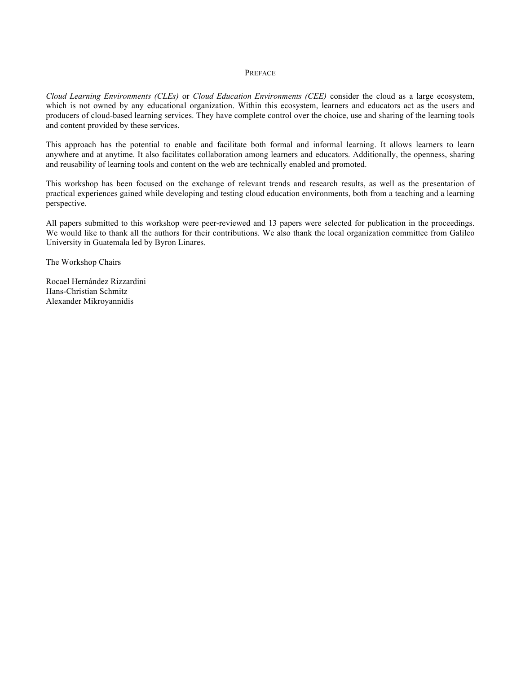## PREFACE

*Cloud Learning Environments (CLEs)* or *Cloud Education Environments (CEE)* consider the cloud as a large ecosystem, which is not owned by any educational organization. Within this ecosystem, learners and educators act as the users and producers of cloud-based learning services. They have complete control over the choice, use and sharing of the learning tools and content provided by these services.

This approach has the potential to enable and facilitate both formal and informal learning. It allows learners to learn anywhere and at anytime. It also facilitates collaboration among learners and educators. Additionally, the openness, sharing and reusability of learning tools and content on the web are technically enabled and promoted.

This workshop has been focused on the exchange of relevant trends and research results, as well as the presentation of practical experiences gained while developing and testing cloud education environments, both from a teaching and a learning perspective.

All papers submitted to this workshop were peer-reviewed and 13 papers were selected for publication in the proceedings. We would like to thank all the authors for their contributions. We also thank the local organization committee from Galileo University in Guatemala led by Byron Linares.

The Workshop Chairs

Rocael Hernández Rizzardini Hans-Christian Schmitz Alexander Mikroyannidis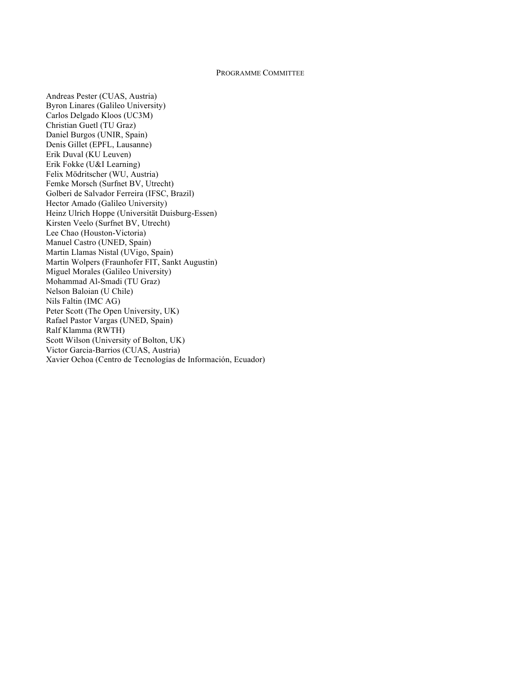## PROGRAMME COMMITTEE

Andreas Pester (CUAS, Austria) Byron Linares (Galileo University) Carlos Delgado Kloos (UC3M) Christian Guetl (TU Graz) Daniel Burgos (UNIR, Spain) Denis Gillet (EPFL, Lausanne) Erik Duval (KU Leuven) Erik Fokke (U&I Learning) Felix Mödritscher (WU, Austria) Femke Morsch (Surfnet BV, Utrecht) Golberi de Salvador Ferreira (IFSC, Brazil) Hector Amado (Galileo University) Heinz Ulrich Hoppe (Universität Duisburg-Essen) Kirsten Veelo (Surfnet BV, Utrecht) Lee Chao (Houston-Victoria) Manuel Castro (UNED, Spain) Martin Llamas Nistal (UVigo, Spain) Martin Wolpers (Fraunhofer FIT, Sankt Augustin) Miguel Morales (Galileo University) Mohammad Al-Smadi (TU Graz) Nelson Baloian (U Chile) Nils Faltin (IMC AG) Peter Scott (The Open University, UK) Rafael Pastor Vargas (UNED, Spain) Ralf Klamma (RWTH) Scott Wilson (University of Bolton, UK) Victor Garcia-Barrios (CUAS, Austria) Xavier Ochoa (Centro de Tecnologías de Información, Ecuador)